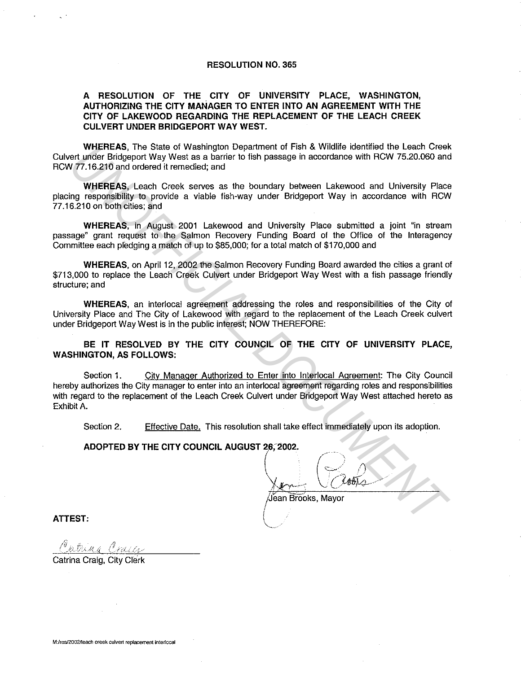#### **RESOLUTION NO. 365**

#### **A RESOLUTION OF THE CITY OF UNIVERSITY PLACE, WASHINGTON, AUTHORIZING THE CITY MANAGER TO ENTER INTO AN AGREEMENT WITH THE CITY OF LAKEWOOD REGARDING THE REPLACEMENT OF THE LEACH CREEK CULVERT UNDER BRIDGEPORT WAY WEST.**

**WHEREAS,** The State of Washington Department of Fish & Wildlife identified the Leach Creek Culvert under Bridgeport Way West as a barrier to fish passage in accordance with RCW 75.20.060 and RCW 77.16.210 and ordered it remedied; and

**WHEREAS,** Leach Creek serves as the boundary between Lakewood and University Place placing responsibility to provide a viable fish-way under Bridgeport Way in accordance with RCW 77 .16.210 on both cities; and

**WHEREAS,** in August 2001 Lakewood and University Place submitted a joint "in stream passage" grant request to the Salmon Recovery Funding Board of the Office of the lnteragency Committee each pledging a match of up to \$85,000; for a total match of \$170,000 and

**WHEREAS,** on April 12, 2002 the Salmon Recovery Funding Board awarded the cities a grant of \$713,000 to replace the Leach Creek Culvert under Bridgeport Way West with a fish passage friendly structure; and

**WHEREAS,** an interlocal agreement addressing the roles and responsibilities of the City of University Place and The City of Lakewood with regard to the replacement of the Leach Creek culvert under Bridgeport Way West is in the public interest; NOW THEREFORE:

**BE IT RESOLVED BY THE CITY COUNCIL OF THE CITY OF UNIVERSITY PLACE, WASHINGTON, AS FOLLOWS:** 

Section 1. City Manager Authorized to Enter into Interlocal Agreement: The City Council hereby authorizes the City manager to enter into an interlocal agreement regarding roles and responsibilities with regard to the replacement of the Leach Creek Culvert under Bridgeport Way West attached hereto as Exhibit A. WHEREAS, In State of Warpington Department of risin & william elemine the Leach Creek<br>
Tord Indige Eddgeport Way West as a barrior to itsh passage in accordance with RCW 75.20.060 and<br>
WHEREAS, Leach Creek serves as the bo

Section 2. Effective Date. This resolution shall take effect immediately upon its adoption.

I  $\setminus$ 

#### **ADOPTED BY THE CITY COUNCIL AUGUST 26, 2002.**

 $\left(\begin{array}{c|c} & \end{array}\right)$  $\lim_{\leftarrow} \sqrt{cos\theta}$ /Jean Brooks, Mayor

**ATTEST:** 

.. (\* ]&IX A\_U

Catrina Craig, City Clerk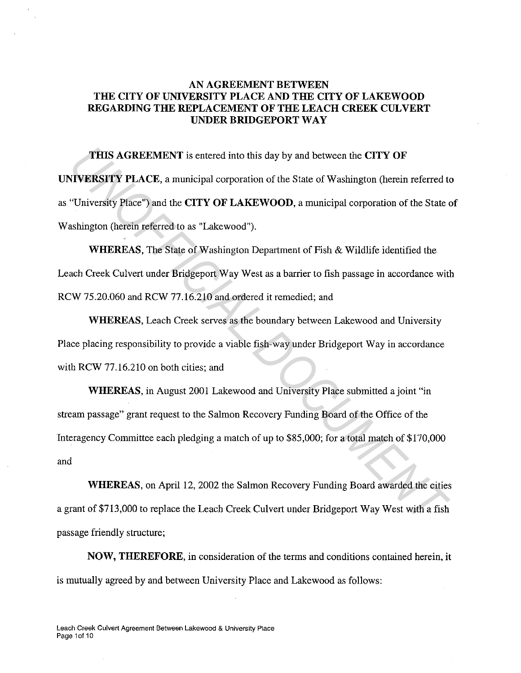# **AN AGREEMENT BETWEEN THE CITY OF UNIVERSITY PLACE AND THE CITY OF LAKEWOOD REGARDING THE REPLACEMENT OF THE LEACH CREEK CULVERT UNDER BRIDGEPORT WAY**

**THIS AGREEMENT** is entered into this day by and between the **CITY OF UNIVERSITY PLACE,** a municipal corporation of the State of Washington (herein referred to as "University Place") and the **CITY OF LAKEWOOD,** a municipal corporation of the State of Washington (herein referred to as "Lakewood"). **THIS AGREEMENT** is entered into this day by and between the **CITY OF**<br> **IVERSITY PLACE**, a municipal corporation of the State of Washington (herein referred to<br>
"University Place") and the **CITY OF LAKEWOOD**, a municipal

**WHEREAS,** The State of Washington Department of Fish & Wildlife identified the Leach Creek Culvert under Bridgeport Way West as a barrier to fish passage in accordance with RCW 75.20.060 and RCW 77.16.210 and ordered it remedied; and

**WHEREAS,** Leach Creek serves as the boundary between Lakewood and University Place placing responsibility to provide a viable fish-way under Bridgeport Way in accordance with RCW 77.16.210 on both cities; and

**WHEREAS,** in August 2001 Lakewood and University Place submitted a joint "in stream passage" grant request to the Salmon Recovery Funding Board of the Office of the Interagency Committee each pledging a match of up to \$85,000; for a total match of \$170,000 and

**WHEREAS,** on April 12, 2002 the Salmon Recovery Funding Board awarded the cities a grant of \$713,000 to replace the Leach Creek Culvert under Bridgeport Way West with a fish passage friendly structure;

**NOW, THEREFORE,** in consideration of the terms and conditions contained herein, it is mutually agreed by and between University Place and Lakewood as follows: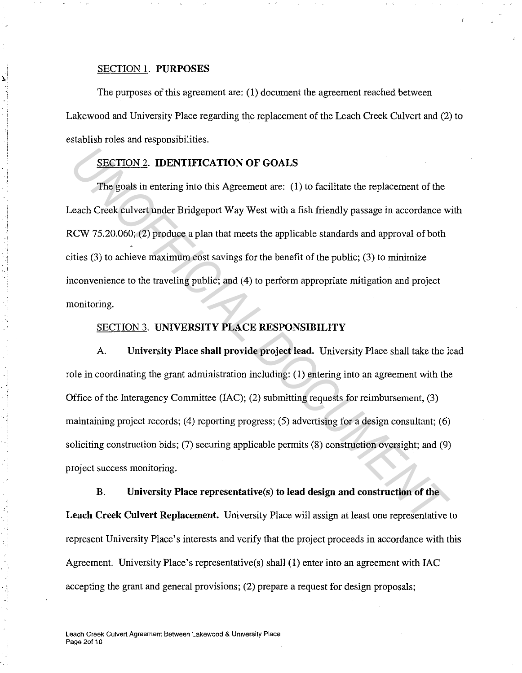#### SECTION l. **PURPOSES**

The purposes of this agreement are: ( 1) document the agreement reached between Lakewood and University Place regarding the replacement of the Leach Creek Culvert and (2) to establish roles and responsibilities.

## SECTION 2. **IDENTIFICATION OF GOALS**

The goals in entering into this Agreement are: ( 1) to facilitate the replacement of the Leach Creek culvert under Bridgeport Way West with a fish friendly passage in accordance with RCW 75.20.060; (2) produce a plan that meets the applicable standards and approval of both cities (3) to achieve maximum cost savings for the benefit of the public; (3) to minimize inconvenience to the traveling public; and (4) to perform appropriate mitigation and project monitoring. **EXECTION 2. IDENTIFICATION OF GOALS**<br> **The goals in entering into this Agreement are:** (1) to facilitate the replacement of the<br>
zeach Creck eulvert under Bridgeport Way West with a fish friendly passage in accordance w<br>

### SECTION 3. **UNIVERSITY PLACE RESPONSIBILITY**

A. **University Place shall provide project lead.** University Place shall take the lead role in coordinating the grant administration including: ( 1) entering into an agreement with the Office of the Interagency Committee (IAC); (2) submitting requests for reimbursement, (3) maintaining project records; (4) reporting progress; (5) advertising for a design consultant; (6) soliciting construction bids; (7) securing applicable permits (8) construction oversight; and (9) project success monitoring.

**B. University Place representative(s) to lead design and construction of the Leach Creek Culvert Replacement.** University Place will assign at least one representative to represent University Place's interests and verify that the project proceeds in accordance with this Agreement. University Place's representative(s) shall (1) enter into an agreement with IAC accepting the grant and general provisions; (2) prepare a request for design proposals;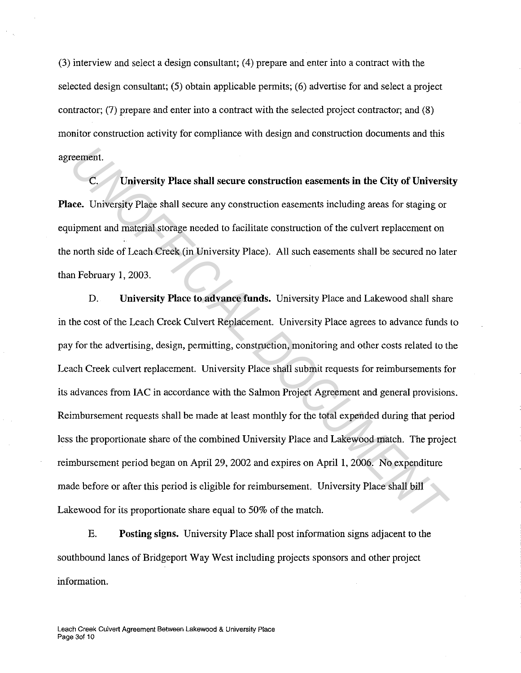(3) interview and select a design consultant; ( 4) prepare and enter into a contract with the selected design consultant; (5) obtain applicable permits; (6) advertise for and select a project contractor; (7) prepare and enter into a contract with the selected project contractor; and (8) monitor construction activity for compliance with design and construction documents and this agreement.

**University Place shall secure construction easements in the City of University Place.** University Place shall secure any construction easements including areas for staging or equipment and material storage needed to facilitate construction of the culvert replacement on the north side of Leach Creek (in University Place). All such easements shall be secured no later than February 1, 2003.

D. **University Place to advance funds.** University Place and Lakewood shall share in the cost of the Leach Creek Culvert Replacement. University Place agrees to advance funds to pay for the advertising, design, permitting, construction, monitoring and other costs related to the Leach Creek culvert replacement. University Place shall submit requests for reimbursements for its advances from IAC in accordance with the Salmon Project Agreement and general provisions. Reimbursement requests shall be made at least monthly for the total expended during that period less the proportionate share of the combined University Place and Lakewood match. The project reimbursement period began on April 29, 2002 and expires on April 1, 2006. No expenditure made before or after this period is eligible for reimbursement. University Place shall bill Lakewood for its proportionate share equal to 50% of the match. **C.** University Place shall secure construction easements in the City of University<br> **EXECUTE:** University Place shall secure any construction easements including areas for staging or<br>
upment and material storage needed to

**E. Posting signs.** University Place shall post information signs adjacent to the southbound lanes of Bridgeport Way West including projects sponsors and other project information.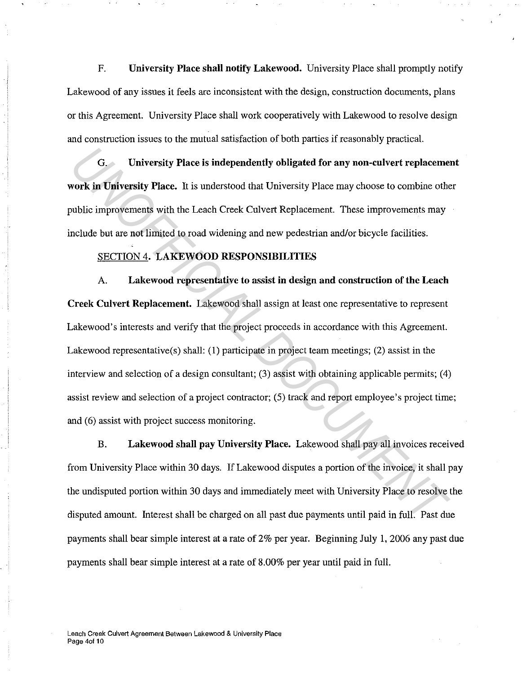F. **University Place shall notify Lakewood.** University Place shall promptly notify Lakewood of any issues it feels are inconsistent with the design, construction documents, plans or this Agreement. University Place shall work cooperatively with Lakewood to resolve design and construction issues to the mutual satisfaction of both parties if reasonably practical.

G. **University Place is independently obligated for any non-culvert replacement work in University Place.** It is understood that University Place may choose to combine other public improvements with the Leach Creek Culvert Replacement. These improvements may include but are not limited to road widening and new pedestrian and/or bicycle facilities.

#### SECTION 4. **LAKEWOOD RESPONSIBILITIES**

A. **Lakewood representative to assist in design and construction of the Leach Creek Culvert Replacement.** Lakewood shall assign at least one representative to represent Lakewood's interests and verify that the project proceeds in accordance with this Agreement. Lakewood representative(s) shall: (1) participate in project team meetings; (2) assist in the interview and selection of a design consultant; (3) assist with obtaining applicable permits; (4) assist review and selection of a project contractor; (5) track and report employee's project time; and (6) assist with project success monitoring. *G*. University Place is independently obligated for any non-culvert replacement work in University Place. It is understood that University Place may choose to combine other which improvements with the Leach Creek Culvert

**B. Lakewood shall pay University Place.** Lakewood shall pay all invoices received from University Place within 30 days. If Lakewood disputes a portion of the invoice, it shall pay the undisputed portion within 30 days and immediately meet with University Place to resolve the disputed amount. Interest shall be charged on *all* past due payments until paid in full. Past due payments shall bear simple interest at a rate of 2% per year. Beginning July 1, 2006 any past due payments shall bear simple interest at a rate of 8.00% per year until paid in full.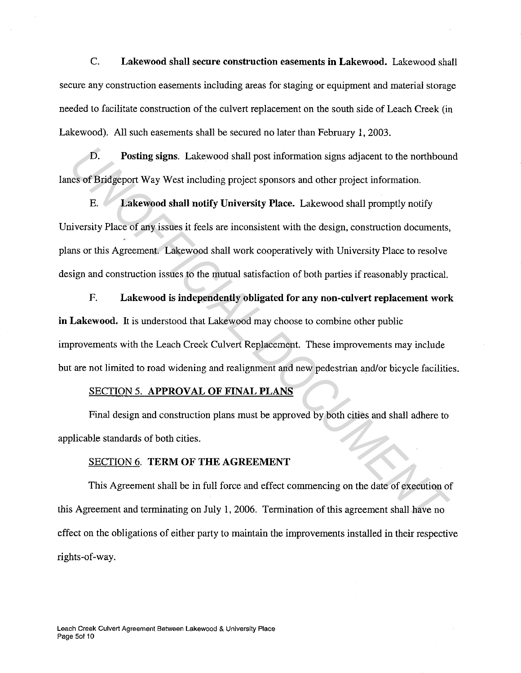C. **Lakewood shall secure construction easements in Lakewood.** Lakewood shall secure any construction easements including areas for staging or equipment and material storage needed to facilitate construction of the culvert replacement on the south side of Leach Creek (in Lakewood). All such easements shall be secured no later than February 1, 2003.

**D. Posting signs.** Lakewood shall post information signs adjacent to the northbound lanes of Bridgeport Way West including project sponsors and other project information.

E. **Lakewood shall notify University Place.** Lakewood shall promptly notify University Place of any issues it feels are inconsistent with the design, construction documents, plans or this Agreement. Lakewood shall work cooperatively with University Place to resolve design and construction issues to the mutual satisfaction of both parties if reasonably practical. **10.** Posting signs. Lakewood shall post information signs adjacent to the northbourd case of Bridgeport Way West including project sponsors and other project information.<br> *E.* Lakewood shall notify University Place. Lake

**F. Lakewood is independently obligated for any non-culvert replacement work in Lakewood.** It is understood that Lakewood may choose to combine other public improvements with the Leach Creek Culvert Replacement. These improvements may include but are not limited to road widening and realignment and new pedestrian and/or bicycle facilities.

#### SECTION 5. **APPROVAL OF FINAL PLANS**

Final design and construction plans must be approved by both cities and shall adhere to applicable standards of both cities.

#### SECTION 6. **TERM OF THE AGREEMENT**

This Agreement shall be in full force and effect commencing on the date of execution of this Agreement and terminating on July 1, 2006. Termination of this agreement shall have no effect on the obligations of either party to maintain the improvements installed in their respective rights-of-way.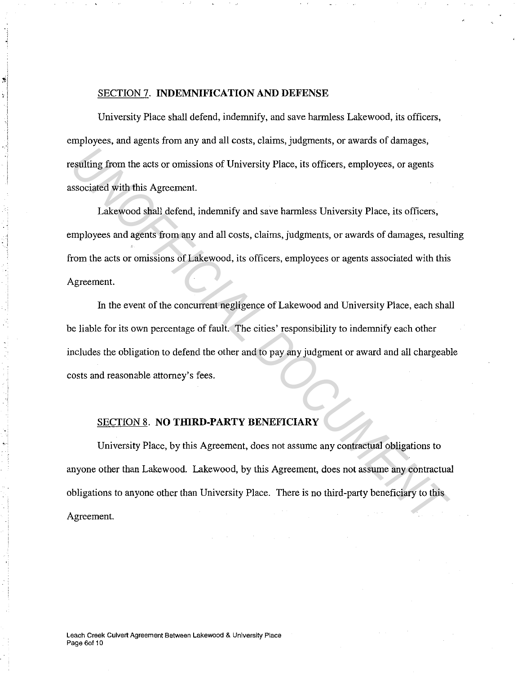#### SECTION 7. **INDEMNIFICATION AND DEFENSE**

University Place shall defend, indemnify, and save harmless Lakewood, its officers, employees, and agents from any and all costs, claims, judgments, or awards of damages, resulting from the acts or omissions of University Place, its officers, employees, or agents associated with this Agreement.

Lakewood shall defend, indemnify and save harmless University Place, its officers, employees and agents from any and all costs, claims, judgments, or awards of damages, resulting from the acts or omissions of Lakewood, its officers, employees or agents associated with this Agreement. **Example 19 The Second Scheme II and Scheme II** and Niversity Place, its officers, employees, or agents<br>
1 akewood shall defend, indemnify and save harmless University Place, its officers,<br>
I akewood shall defend, indemnif

In the event of the concurrent negligence of Lakewood and University Place, each shall be liable for its own percentage of fault. The cities' responsibility to indemnify each other includes the obligation to defend the other and to pay any judgment or award and all chargeable costs and reasonable attorney's fees.

### SECTION 8. **NO THIRD-PARTY BENEFICIARY**

University Place, by this Agreement, does not assume any contractual obligations to anyone other than Lakewood. Lakewood, by this Agreement, does not assume any contractual obligations to anyone other than University Place. There is no third-party beneficiary to this Agreement.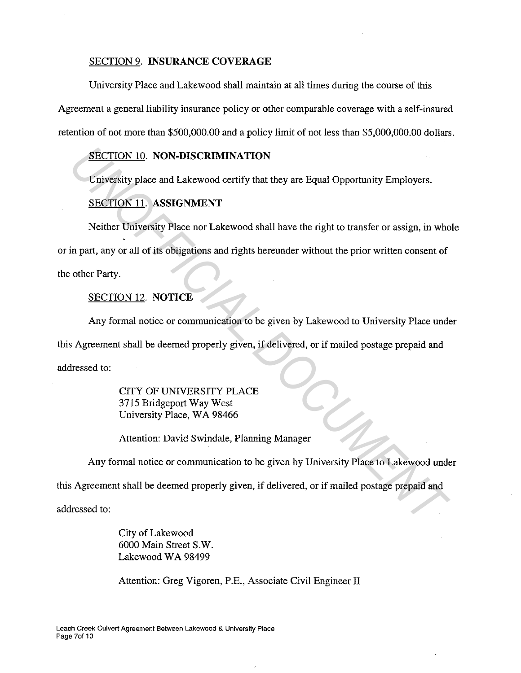#### SECTION 9. **INSURANCE COVERAGE**

University Place and Lakewood shall maintain at all times during the course of this

Agreement a general liability insurance policy or other comparable coverage with a self-insured retention of not more than \$500,000.00 and a policy limit of not less than \$5,000,000.00 dollars.

#### SECTION 10. **NON-DISCRIMINATION**

University place and Lakewood certify that they are Equal Opportunity Employers.

#### SECTION 11. **ASSIGNMENT**

Neither University Place nor Lakewood shall have the right to transfer or assign, in whole or in part, any or all of its obligations and rights hereunder without the prior written consent of the other Party. **EXECTION 10. NON-DISCRIMINATION**<br>
University place and Lakewood certify that they are Equal Opportunity Employers.<br>
<u>SECTION 11</u>. ASSIGNMENT<br>
Neither University Place nor Lakewood shall have the right to transfer or assig

# SECTION 12. **NOTICE**

Any formal notice or communication to be given by Lakewood to University Place under this Agreement shall be deemed properly given, if delivered, or if mailed postage prepaid and addressed to:

> CITY OF UNIVERSITY PLACE 3715 Bridgeport Way West University Place, WA 98466

Attention: David Swindale, Planning Manager

Any formal notice or communication to be given by University Place to Lakewood under

this Agreement shall be deemed properly given, if delivered, or if mailed postage prepaid and

addressed to:

City of Lakewood 6000 Main Street S.W. Lakewood WA 98499

Attention: Greg Vigoren, P.E., Associate Civil Engineer II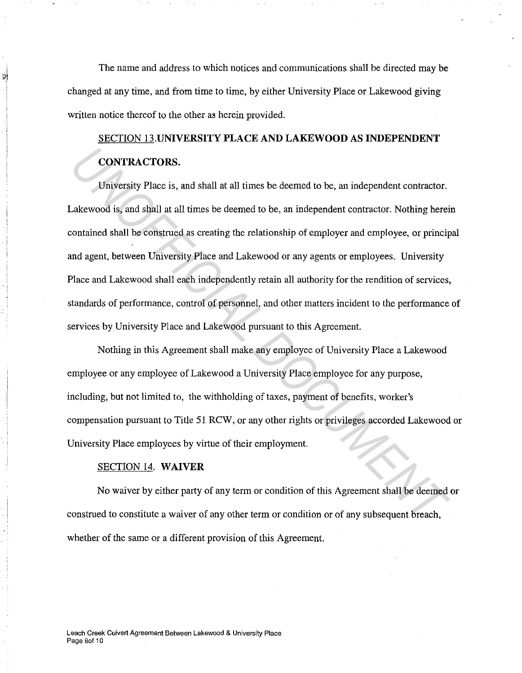The name and address to which notices and communications shall be directed may be changed at any time, and from time to time, by either University Place or Lakewood giving written notice thereof to the other as herein provided.

# SECTION **13.UNIVERSITY PLACE AND LAKEWOOD AS INDEPENDENT CONTRACTORS.**

University Place is, and shall at all times be deemed to be, an independent contractor. Lakewood is, and shall at all times be deemed to be, an independent contractor. Nothing herein contained shall be construed as creating the relationship of employer and employee, or principal and agent, between University Place and Lakewood or any agents or employees. University Place and Lakewood shall each independently retain all authority for the rendition of services, standards of performance, control of personnel, and other matters incident to the performance of services by University Place and Lakewood pursuant to this Agreement. **CONTRACTORS.**<br>
University Place is, and shall at all times be deemed to be, an independent contractor.<br>
Lakewood is, and shall at all times be deemed to be, an independent contractor. Nothing hereincontained shall be cons

Nothing in this Agreement shall make any employee of University Place a Lakewood employee or any employee of Lakewood a University Place employee for any purpose, including, but not limited to, the withholding of taxes, payment of benefits, worker's compensation pursuant to Title 51 RCW, or any other rights or privileges accorded Lakewood or University Place employees by virtue of their employment.

#### SECTION 14. **WAIVER**

No waiver by either party of any term or condition of this Agreement shall be deemed or construed to constitute a waiver of any other term or condition or of any subsequent breach, whether of the same or a different provision of this Agreement.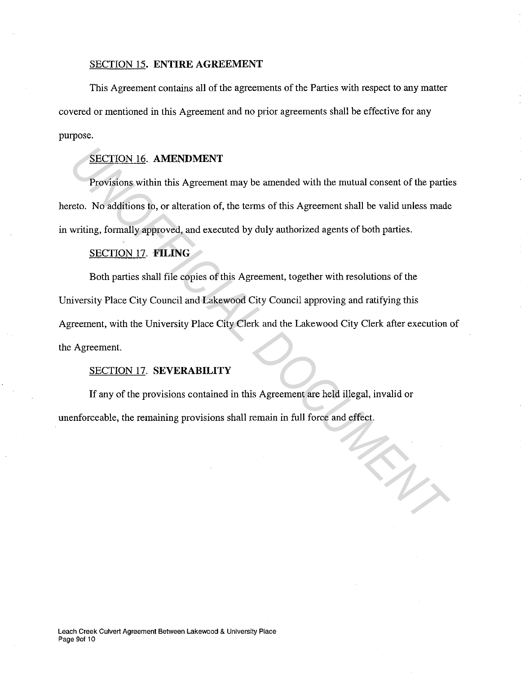#### SECTION 15. **ENTIRE AGREEMENT**

This Agreement contains all of the agreements of the Parties with respect to any matter covered or mentioned in this Agreement and no prior agreements shall be effective for any purpose.

## SECTION 16. **AMENDMENT**

Provisions within this Agreement may be amended with the mutual consent of the parties hereto. No additions to, or alteration of, the terms of this Agreement shall be valid unless made in writing, formally approved, and executed by duly authorized agents of both parties.

## SECTION 17. **FILING**

Both parties shall file copies of this Agreement, together with resolutions of the University Place City Council and Lakewood City Council approving and ratifying this Agreement, with the University Place City Clerk and the Lakewood City Clerk after execution of the Agreement. **EECTION 16. AMENDMENT**<br>**Provisions within this Agreement may be amended with the mutual consent of the partieto. No additions to, or alteration of, the terms of this Agreement shall be valid unless made writing, formally** 

#### SECTION 17. **SEVERABILITY**

If any of the provisions contained in this Agreement are held illegal, invalid or unenforceable, the remaining provisions shall remain in full force and effect.